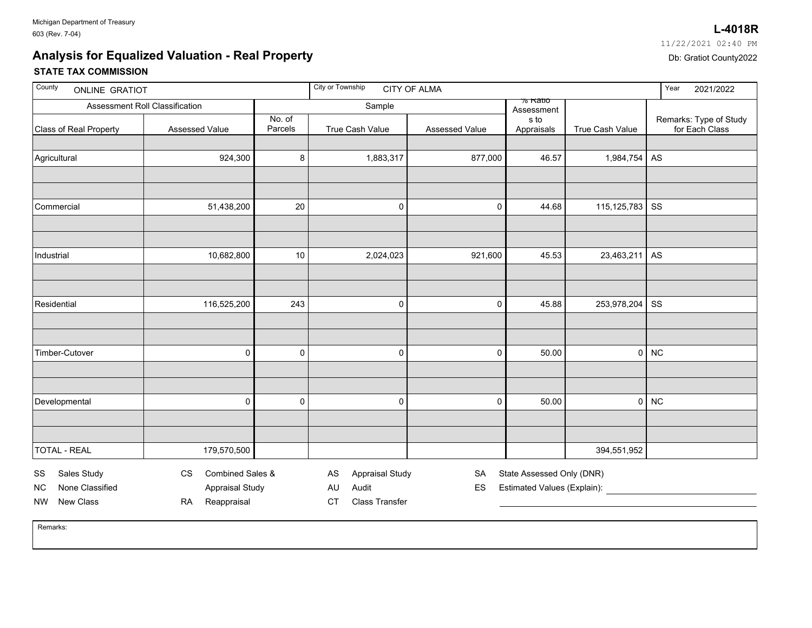## **STATE TAX COMMISSION Analysis for Equalized Valuation - Real Property**

| 11/22/2021 02:40 PM    |  |
|------------------------|--|
| Db: Gratiot County2022 |  |
|                        |  |

| County<br><b>ONLINE GRATIOT</b>                   |                                                         |                   | City or Township<br><b>CITY OF ALMA</b>     | Year<br>2021/2022 |                                                          |                 |                                          |
|---------------------------------------------------|---------------------------------------------------------|-------------------|---------------------------------------------|-------------------|----------------------------------------------------------|-----------------|------------------------------------------|
| Assessment Roll Classification                    |                                                         |                   | Sample                                      |                   | % Rauo<br>Assessment                                     |                 |                                          |
| Class of Real Property                            | Assessed Value                                          | No. of<br>Parcels | True Cash Value                             | Assessed Value    | s to<br>Appraisals                                       | True Cash Value | Remarks: Type of Study<br>for Each Class |
| Agricultural                                      | 924,300                                                 | $\bf 8$           | 1,883,317                                   | 877,000           | 46.57                                                    | 1,984,754       | AS                                       |
|                                                   |                                                         |                   |                                             |                   |                                                          |                 |                                          |
| Commercial                                        | 51,438,200                                              | 20                | 0                                           | 0                 | 44.68                                                    | 115,125,783     | SS                                       |
|                                                   |                                                         |                   |                                             |                   |                                                          |                 |                                          |
| Industrial                                        | 10,682,800                                              | 10                | 2,024,023                                   | 921,600           | 45.53                                                    | 23,463,211      | AS                                       |
|                                                   |                                                         |                   |                                             |                   |                                                          |                 |                                          |
| Residential                                       | 116,525,200                                             | 243               | 0                                           | 0                 | 45.88                                                    | 253,978,204     | SS                                       |
|                                                   |                                                         |                   |                                             |                   |                                                          |                 |                                          |
| Timber-Cutover                                    | 0                                                       | 0                 | 0                                           | 0                 | 50.00                                                    | 0               | <b>NC</b>                                |
|                                                   |                                                         |                   |                                             |                   |                                                          |                 |                                          |
| Developmental                                     | 0                                                       | 0                 | 0                                           | 0                 | 50.00                                                    | $\pmb{0}$       | <b>NC</b>                                |
|                                                   |                                                         |                   |                                             |                   |                                                          |                 |                                          |
| <b>TOTAL - REAL</b>                               | 179,570,500                                             |                   |                                             |                   |                                                          | 394,551,952     |                                          |
| Sales Study<br>SS<br>None Classified<br><b>NC</b> | Combined Sales &<br><b>CS</b><br><b>Appraisal Study</b> |                   | AS<br><b>Appraisal Study</b><br>Audit<br>AU | SA<br>ES          | State Assessed Only (DNR)<br>Estimated Values (Explain): |                 |                                          |
| New Class<br><b>NW</b>                            | Reappraisal<br><b>RA</b>                                |                   | <b>Class Transfer</b><br><b>CT</b>          |                   |                                                          |                 |                                          |

Remarks:

## $02:40$  PM